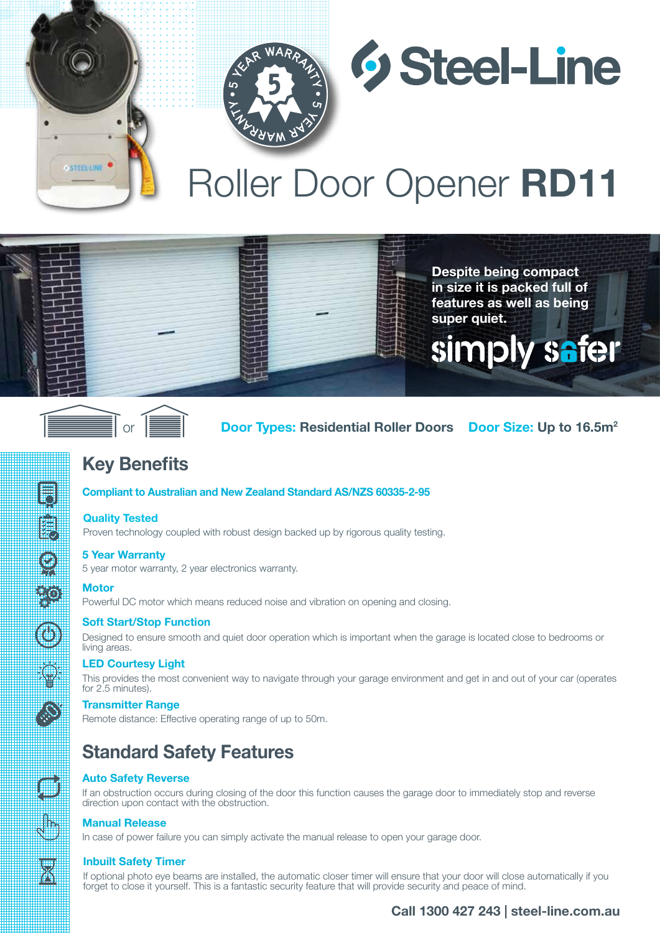



**Despite being compact in size it is packed full of features as well as being** 

simply safer

**super quiet.** 

# Roller Door Opener **RD11**



**STEELLINE** 

 **Door Types: Residential Roller Doors** Door Size: Up to 16.5m<sup>2</sup>

## **Key Benefits**

## **Compliant to Australian and New Zealand Standard AS/NZS 60335-2-95**

## **Quality Tested**

Proven technology coupled with robust design backed up by rigorous quality testing.

## **5 Year Warranty**

5 year motor warranty, 2 year electronics warranty.

## **Motor**

ok<br>Com

O

Powerful DC motor which means reduced noise and vibration on opening and closing.

## **Soft Start/Stop Function**

Designed to ensure smooth and quiet door operation which is important when the garage is located close to bedrooms or living areas.

## **LED Courtesy Light**

This provides the most convenient way to navigate through your garage environment and get in and out of your car (operates for 2.5 minutes).

## **Transmitter Range**

Remote distance: Effective operating range of up to 50m.

## **Standard Safety Features**

## **Auto Safety Reverse**

If an obstruction occurs during closing of the door this function causes the garage door to immediately stop and reverse direction upon contact with the obstruction.

## **Manual Release**

In case of power failure you can simply activate the manual release to open your garage door.

## **Inbuilt Safety Timer**

If optional photo eye beams are installed, the automatic closer timer will ensure that your door will close automatically if you forget to close it yourself. This is a fantastic security feature that will provide security and peace of mind.

## **Call 1300 427 243 | steel-line.com.au**